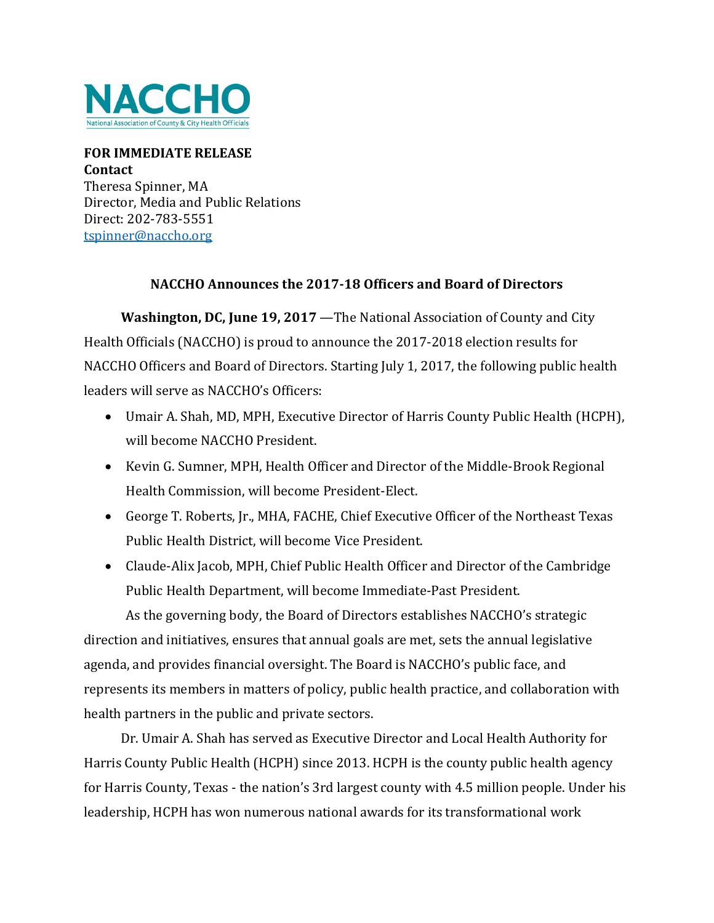

## **FOR IMMEDIATE RELEASE Contact** Theresa Spinner, MA Director, Media and Public Relations Direct: 202-783-5551 [tspinner@naccho.org](mailto:tspinner@naccho.org)

## **NACCHO Announces the 2017-18 Officers and Board of Directors**

 **Washington, DC, June 19, 2017** —The National Association of County and City Health Officials (NACCHO) is proud to announce the 2017-2018 election results for NACCHO Officers and Board of Directors. Starting July 1, 2017, the following public health leaders will serve as NACCHO's Officers:

- Umair A. Shah, MD, MPH, Executive Director of Harris County Public Health (HCPH), will become NACCHO President.
- Kevin G. Sumner, MPH, Health Officer and Director of the Middle-Brook Regional Health Commission, will become President-Elect.
- George T. Roberts, Jr., MHA, FACHE, Chief Executive Officer of the Northeast Texas Public Health District, will become Vice President.
- Claude-Alix Jacob, MPH, Chief Public Health Officer and Director of the Cambridge Public Health Department, will become Immediate-Past President.

As the governing body, the Board of Directors establishes NACCHO's strategic direction and initiatives, ensures that annual goals are met, sets the annual legislative agenda, and provides financial oversight. The Board is NACCHO's public face, and represents its members in matters of policy, public health practice, and collaboration with health partners in the public and private sectors.

Dr. Umair A. Shah has served as Executive Director and Local Health Authority for Harris County Public Health (HCPH) since 2013. HCPH is the county public health agency for Harris County, Texas - the nation's 3rd largest county with 4.5 million people. Under his leadership, HCPH has won numerous national awards for its transformational work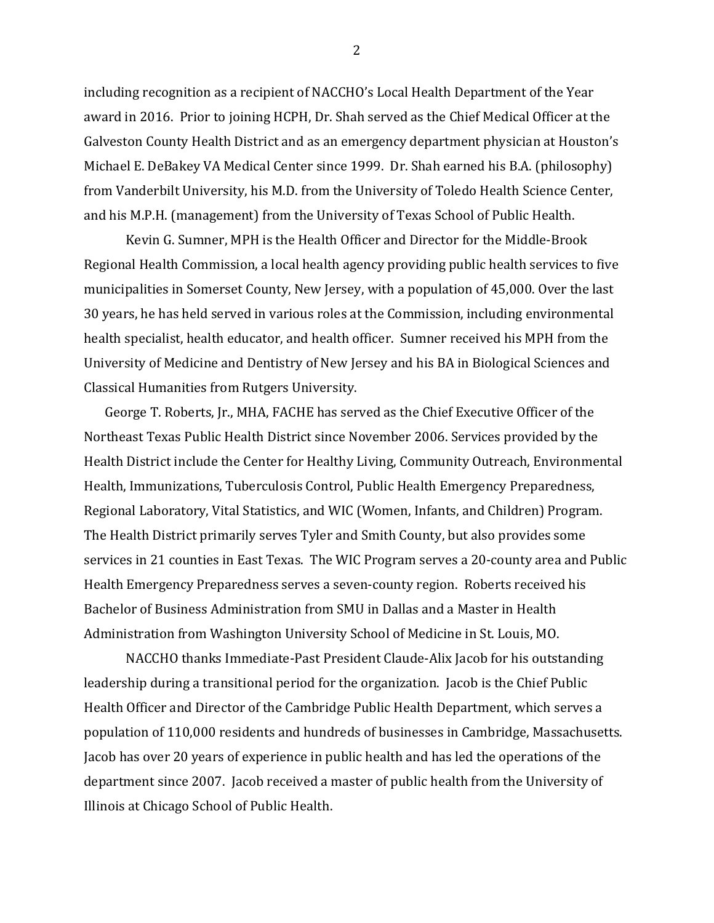including recognition as a recipient of NACCHO's Local Health Department of the Year award in 2016. Prior to joining HCPH, Dr. Shah served as the Chief Medical Officer at the Galveston County Health District and as an emergency department physician at Houston's Michael E. DeBakey VA Medical Center since 1999. Dr. Shah earned his B.A. (philosophy) from Vanderbilt University, his M.D. from the University of Toledo Health Science Center, and his M.P.H. (management) from the University of Texas School of Public Health.

Kevin G. Sumner, MPH is the Health Officer and Director for the Middle-Brook Regional Health Commission, a local health agency providing public health services to five municipalities in Somerset County, New Jersey, with a population of 45,000. Over the last 30 years, he has held served in various roles at the Commission, including environmental health specialist, health educator, and health officer. Sumner received his MPH from the University of Medicine and Dentistry of New Jersey and his BA in Biological Sciences and Classical Humanities from Rutgers University.

George T. Roberts, Jr., MHA, FACHE has served as the Chief Executive Officer of the Northeast Texas Public Health District since November 2006. Services provided by the Health District include the Center for Healthy Living, Community Outreach, Environmental Health, Immunizations, Tuberculosis Control, Public Health Emergency Preparedness, Regional Laboratory, Vital Statistics, and WIC (Women, Infants, and Children) Program. The Health District primarily serves Tyler and Smith County, but also provides some services in 21 counties in East Texas. The WIC Program serves a 20-county area and Public Health Emergency Preparedness serves a seven-county region. Roberts received his Bachelor of Business Administration from SMU in Dallas and a Master in Health Administration from Washington University School of Medicine in St. Louis, MO.

NACCHO thanks Immediate-Past President Claude-Alix Jacob for his outstanding leadership during a transitional period for the organization. Jacob is the Chief Public Health Officer and Director of the Cambridge Public Health Department, which serves a population of 110,000 residents and hundreds of businesses in Cambridge, Massachusetts. Jacob has over 20 years of experience in public health and has led the operations of the department since 2007. Jacob received a master of public health from the University of Illinois at Chicago School of Public Health.

2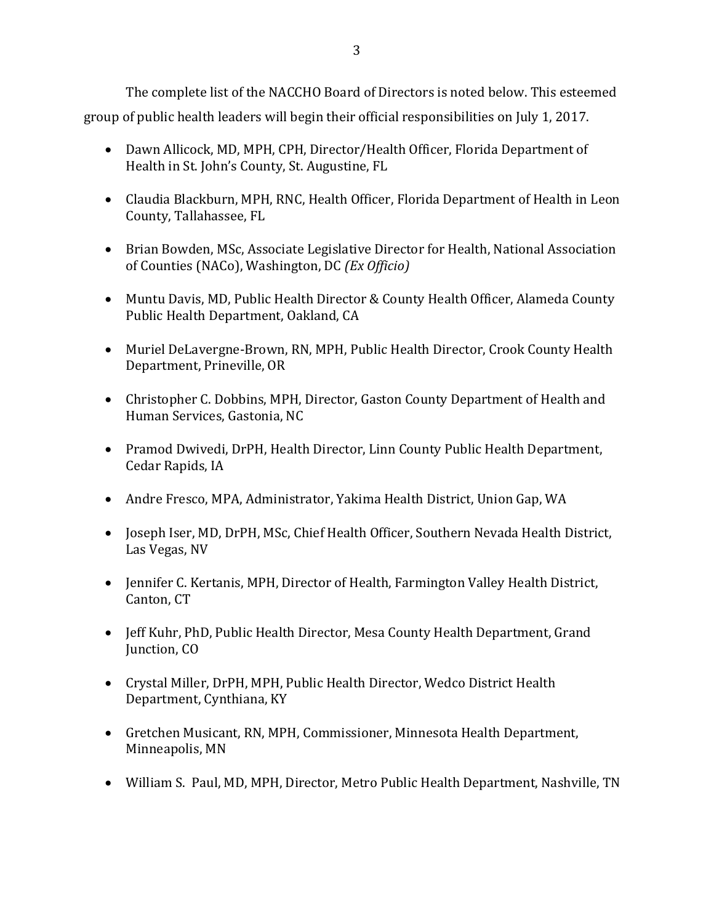The complete list of the NACCHO Board of Directors is noted below. This esteemed group of public health leaders will begin their official responsibilities on July 1, 2017.

- Dawn Allicock, MD, MPH, CPH, Director/Health Officer, Florida Department of Health in St. John's County, St. Augustine, FL
- Claudia Blackburn, MPH, RNC, Health Officer, Florida Department of Health in Leon County, Tallahassee, FL
- Brian Bowden, MSc, Associate Legislative Director for Health, National Association of Counties (NACo), Washington, DC *(Ex Officio)*
- Muntu Davis, MD, Public Health Director & County Health Officer, Alameda County Public Health Department, Oakland, CA
- Muriel DeLavergne-Brown, RN, MPH, Public Health Director, Crook County Health Department, Prineville, OR
- Christopher C. Dobbins, MPH, Director, Gaston County Department of Health and Human Services, Gastonia, NC
- Pramod Dwivedi, DrPH, Health Director, Linn County Public Health Department, Cedar Rapids, IA
- Andre Fresco, MPA, Administrator, Yakima Health District, Union Gap, WA
- Joseph Iser, MD, DrPH, MSc, Chief Health Officer, Southern Nevada Health District, Las Vegas, NV
- Jennifer C. Kertanis, MPH, Director of Health, Farmington Valley Health District, Canton, CT
- Jeff Kuhr, PhD, Public Health Director, Mesa County Health Department, Grand Junction, CO
- Crystal Miller, DrPH, MPH, Public Health Director, Wedco District Health Department, Cynthiana, KY
- Gretchen Musicant, RN, MPH, Commissioner, Minnesota Health Department, Minneapolis, MN
- William S. Paul, MD, MPH, Director, Metro Public Health Department, Nashville, TN